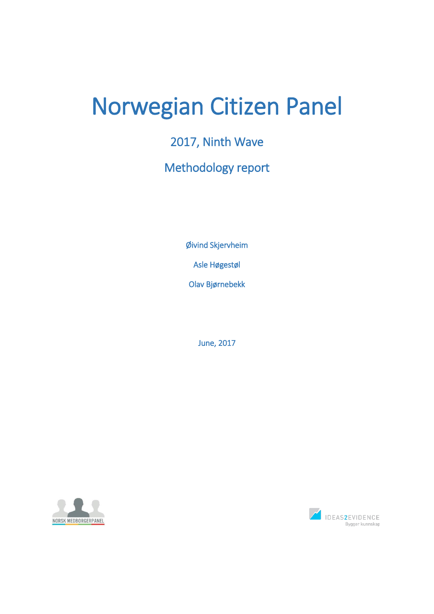# Norwegian Citizen Panel

2017, Ninth Wave

# Methodology report

Øivind Skjervheim

Asle Høgestøl

Olav Bjørnebekk

June, 2017



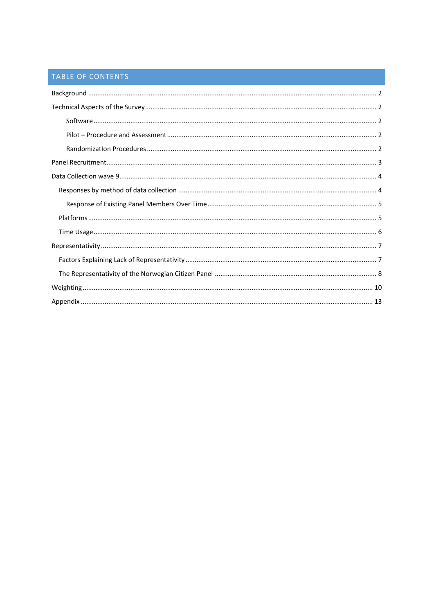# TABLE OF CONTENTS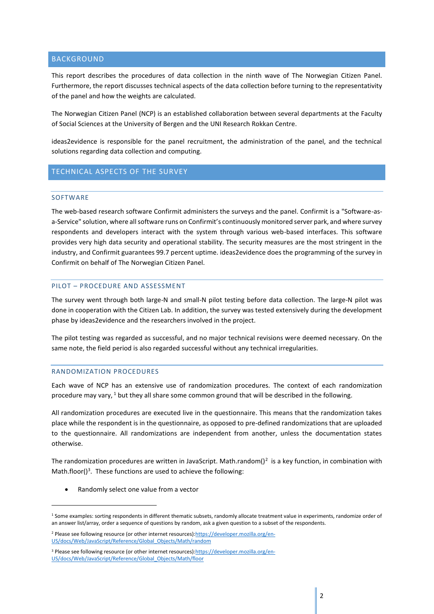# <span id="page-2-0"></span>BACKGROUND

This report describes the procedures of data collection in the ninth wave of The Norwegian Citizen Panel. Furthermore, the report discusses technical aspects of the data collection before turning to the representativity of the panel and how the weights are calculated.

The Norwegian Citizen Panel (NCP) is an established collaboration between several departments at the Faculty of Social Sciences at the University of Bergen and the UNI Research Rokkan Centre.

ideas2evidence is responsible for the panel recruitment, the administration of the panel, and the technical solutions regarding data collection and computing.

# <span id="page-2-2"></span><span id="page-2-1"></span>TECHNICAL ASPECTS OF THE SURVEY

#### SOFTWARE

**.** 

The web-based research software Confirmit administers the surveys and the panel. Confirmit is a "Software-asa-Service" solution, where all software runs on Confirmit's continuously monitored server park, and where survey respondents and developers interact with the system through various web-based interfaces. This software provides very high data security and operational stability. The security measures are the most stringent in the industry, and Confirmit guarantees 99.7 percent uptime. ideas2evidence does the programming of the survey in Confirmit on behalf of The Norwegian Citizen Panel.

#### <span id="page-2-3"></span>PILOT – PROCEDURE AND ASSESSMENT

The survey went through both large-N and small-N pilot testing before data collection. The large-N pilot was done in cooperation with the Citizen Lab. In addition, the survey was tested extensively during the development phase by ideas2evidence and the researchers involved in the project.

The pilot testing was regarded as successful, and no major technical revisions were deemed necessary. On the same note, the field period is also regarded successful without any technical irregularities.

# <span id="page-2-4"></span>RANDOMIZATION PROCEDURES

Each wave of NCP has an extensive use of randomization procedures. The context of each randomization procedure may vary,  $1$  but they all share some common ground that will be described in the following.

All randomization procedures are executed live in the questionnaire. This means that the randomization takes place while the respondent is in the questionnaire, as opposed to pre-defined randomizations that are uploaded to the questionnaire. All randomizations are independent from another, unless the documentation states otherwise.

The randomization procedures are written in JavaScript. Math.random()<sup>2</sup> is a key function, in combination with Math.floor()<sup>3</sup>. These functions are used to achieve the following:

• Randomly select one value from a vector

<sup>&</sup>lt;sup>1</sup> Some examples: sorting respondents in different thematic subsets, randomly allocate treatment value in experiments, randomize order of an answer list/array, order a sequence of questions by random, ask a given question to a subset of the respondents.

<sup>2</sup> Please see following resource (or other internet resources)[:https://developer.mozilla.org/en-](https://developer.mozilla.org/en-US/docs/Web/JavaScript/Reference/Global_Objects/Math/random)[US/docs/Web/JavaScript/Reference/Global\\_Objects/Math/random](https://developer.mozilla.org/en-US/docs/Web/JavaScript/Reference/Global_Objects/Math/random)

<sup>3</sup> Please see following resource (or other internet resources)[:https://developer.mozilla.org/en-](https://developer.mozilla.org/en-US/docs/Web/JavaScript/Reference/Global_Objects/Math/floor)[US/docs/Web/JavaScript/Reference/Global\\_Objects/Math/floor](https://developer.mozilla.org/en-US/docs/Web/JavaScript/Reference/Global_Objects/Math/floor)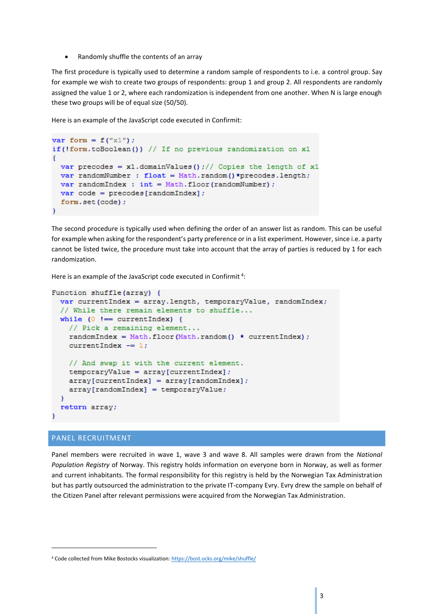• Randomly shuffle the contents of an array

The first procedure is typically used to determine a random sample of respondents to i.e. a control group. Say for example we wish to create two groups of respondents: group 1 and group 2. All respondents are randomly assigned the value 1 or 2, where each randomization is independent from one another. When N is large enough these two groups will be of equal size (50/50).

Here is an example of the JavaScript code executed in Confirmit:

```
var form = f("x1");
if(!form.toBoolean()) // If no previous randomization on x1
 var precodes = x1.domainValues();// Copies the length of x1var randomNumber : float = Math.random() *precodes.length;
 var randomIndex : int = Math.floor(randomNumber);
 var code = precedes[randomIndex];form.set(code);
\mathbf{H}
```
The second procedure is typically used when defining the order of an answer list as random. This can be useful for example when asking for the respondent's party preference or in a list experiment. However, since i.e. a party cannot be listed twice, the procedure must take into account that the array of parties is reduced by 1 for each randomization.

Here is an example of the JavaScript code executed in Confirmit<sup>4</sup>:

```
Function shuffle(array) {
 var currentIndex = array.length, temporaryValue, randomIndex;
  // While there remain elements to shuffle...
 while (0) !== currentIndex) {
    // Pick a remaining element...
    randomIndex = Math.floor(Math.random() * currentIndex);
    currentIndex - = 1;
    // And swap it with the current element.
    temporaryValue = array[currentIndex];array[currentIndex] = array[randomIndex];array[randomIndex] = temporaryValue;€
  return array;
\mathbf{r}
```
## <span id="page-3-0"></span>PANEL RECRUITMENT

**.** 

Panel members were recruited in wave 1, wave 3 and wave 8. All samples were drawn from the *National Population Registry* of Norway. This registry holds information on everyone born in Norway, as well as former and current inhabitants. The formal responsibility for this registry is held by the Norwegian Tax Administration but has partly outsourced the administration to the private IT-company Evry. Evry drew the sample on behalf of the Citizen Panel after relevant permissions were acquired from the Norwegian Tax Administration.

<sup>4</sup> Code collected from Mike Bostocks visualization[: https://bost.ocks.org/mike/shuffle/](https://bost.ocks.org/mike/shuffle/)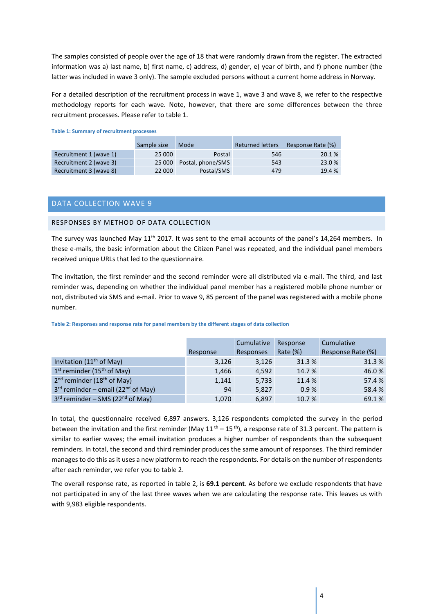The samples consisted of people over the age of 18 that were randomly drawn from the register. The extracted information was a) last name, b) first name, c) address, d) gender, e) year of birth, and f) phone number (the latter was included in wave 3 only). The sample excluded persons without a current home address in Norway.

For a detailed description of the recruitment process in wave 1, wave 3 and wave 8, we refer to the respective methodology reports for each wave. Note, however, that there are some differences between the three recruitment processes. Please refer to table 1.

|                        | Sample size | Mode              | <b>Returned letters</b> | Response Rate (%) |
|------------------------|-------------|-------------------|-------------------------|-------------------|
| Recruitment 1 (wave 1) | 25 000      | Postal            | 546                     | 20.1%             |
| Recruitment 2 (wave 3) | 25 000      | Postal, phone/SMS | 543                     | 23.0 %            |
| Recruitment 3 (wave 8) | 22 000      | Postal/SMS        | 479                     | 19.4 %            |

#### **Table 1: Summary of recruitment processes**

# <span id="page-4-0"></span>DATA COLLECTION WAVE 9

# <span id="page-4-1"></span>RESPONSES BY METHOD OF DATA COLLECTION

The survey was launched May 11<sup>th</sup> 2017. It was sent to the email accounts of the panel's 14,264 members. In these e-mails, the basic information about the Citizen Panel was repeated, and the individual panel members received unique URLs that led to the questionnaire.

The invitation, the first reminder and the second reminder were all distributed via e-mail. The third, and last reminder was, depending on whether the individual panel member has a registered mobile phone number or not, distributed via SMS and e-mail. Prior to wave 9, 85 percent of the panel was registered with a mobile phone number.

|                                                  |          | Cumulative | Response    | Cumulative        |
|--------------------------------------------------|----------|------------|-------------|-------------------|
|                                                  | Response | Responses  | Rate $(\%)$ | Response Rate (%) |
| Invitation $(11th$ of May)                       | 3,126    | 3,126      | 31.3%       | 31.3%             |
| $1st$ reminder (15 <sup>th</sup> of May)         | 1,466    | 4,592      | 14.7 %      | 46.0%             |
| $2^{nd}$ reminder (18 <sup>th</sup> of May)      | 1,141    | 5,733      | 11.4 %      | 57.4 %            |
| $3rd$ reminder – email (22 <sup>nd</sup> of May) | 94       | 5,827      | 0.9%        | 58.4%             |
| $3rd$ reminder – SMS (22 <sup>nd</sup> of May)   | 1,070    | 6,897      | 10.7 %      | 69.1%             |

#### **Table 2: Responses and response rate for panel members by the different stages of data collection**

In total, the questionnaire received 6,897 answers. 3,126 respondents completed the survey in the period between the invitation and the first reminder (May 11<sup>th</sup> – 15<sup>th</sup>), a response rate of 31.3 percent. The pattern is similar to earlier waves; the email invitation produces a higher number of respondents than the subsequent reminders. In total, the second and third reminder produces the same amount of responses. The third reminder manages to do this as it uses a new platform to reach the respondents. For details on the number of respondents after each reminder, we refer you to table 2.

The overall response rate, as reported in table 2, is **69.1 percent**. As before we exclude respondents that have not participated in any of the last three waves when we are calculating the response rate. This leaves us with with 9,983 eligible respondents.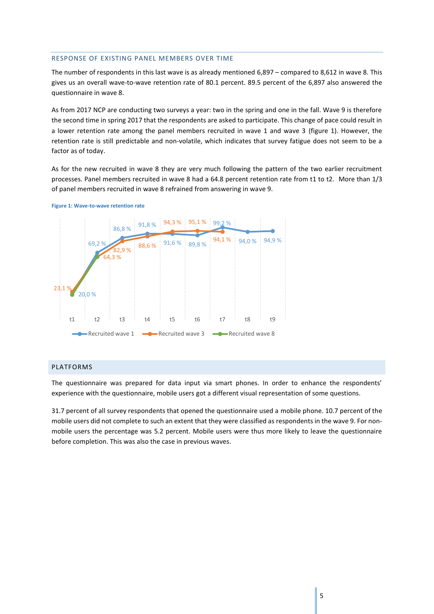#### <span id="page-5-0"></span>RESPONSE OF EXISTING PANEL MEMBERS OVER TIME

The number of respondents in this last wave is as already mentioned 6,897 – compared to 8,612 in wave 8. This gives us an overall wave-to-wave retention rate of 80.1 percent. 89.5 percent of the 6,897 also answered the questionnaire in wave 8.

As from 2017 NCP are conducting two surveys a year: two in the spring and one in the fall. Wave 9 is therefore the second time in spring 2017 that the respondents are asked to participate. This change of pace could result in a lower retention rate among the panel members recruited in wave 1 and wave 3 (figure 1). However, the retention rate is still predictable and non-volatile, which indicates that survey fatigue does not seem to be a factor as of today.

As for the new recruited in wave 8 they are very much following the pattern of the two earlier recruitment processes. Panel members recruited in wave 8 had a 64.8 percent retention rate from t1 to t2. More than 1/3 of panel members recruited in wave 8 refrained from answering in wave 9.





# <span id="page-5-1"></span>PLATFORMS

The questionnaire was prepared for data input via smart phones. In order to enhance the respondents' experience with the questionnaire, mobile users got a different visual representation of some questions.

31.7 percent of all survey respondents that opened the questionnaire used a mobile phone. 10.7 percent of the mobile users did not complete to such an extent that they were classified as respondents in the wave 9. For nonmobile users the percentage was 5.2 percent. Mobile users were thus more likely to leave the questionnaire before completion. This was also the case in previous waves.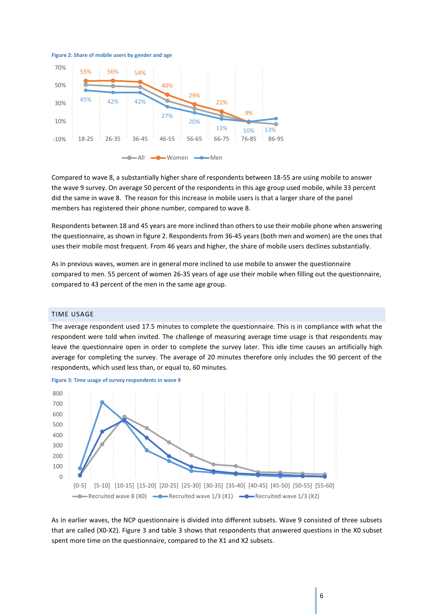**Figure 2: Share of mobile users by gender and age**



Compared to wave 8, a substantially higher share of respondents between 18-55 are using mobile to answer the wave 9 survey. On average 50 percent of the respondents in this age group used mobile, while 33 percent did the same in wave 8. The reason for this increase in mobile users is that a larger share of the panel members has registered their phone number, compared to wave 8.

Respondents between 18 and 45 years are more inclined than others to use their mobile phone when answering the questionnaire, as shown in figure 2. Respondents from 36-45 years (both men and women) are the ones that uses their mobile most frequent. From 46 years and higher, the share of mobile users declines substantially.

As in previous waves, women are in general more inclined to use mobile to answer the questionnaire compared to men. 55 percent of women 26-35 years of age use their mobile when filling out the questionnaire, compared to 43 percent of the men in the same age group.

#### <span id="page-6-0"></span>TIME USAGE

The average respondent used 17.5 minutes to complete the questionnaire. This is in compliance with what the respondent were told when invited. The challenge of measuring average time usage is that respondents may leave the questionnaire open in order to complete the survey later. This idle time causes an artificially high average for completing the survey. The average of 20 minutes therefore only includes the 90 percent of the respondents, which used less than, or equal to, 60 minutes.



**Figure 3: Time usage of survey respondents in wave 9**

As in earlier waves, the NCP questionnaire is divided into different subsets. Wave 9 consisted of three subsets that are called (X0-X2). Figure 3 and table 3 shows that respondents that answered questions in the X0 subset spent more time on the questionnaire, compared to the X1 and X2 subsets.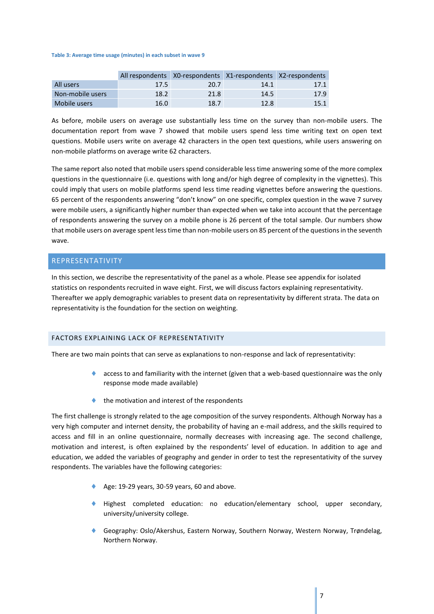#### **Table 3: Average time usage (minutes) in each subset in wave 9**

|                  |      | All respondents X0-respondents X1-respondents X2-respondents |      |      |
|------------------|------|--------------------------------------------------------------|------|------|
| All users        | 17.5 | 20.7                                                         | 14.1 | 17.1 |
| Non-mobile users | 18.2 | 21.8                                                         | 14.5 | 17.9 |
| Mobile users     | 16.0 | 18.7                                                         | 12.8 | 15.1 |

As before, mobile users on average use substantially less time on the survey than non-mobile users. The documentation report from wave 7 showed that mobile users spend less time writing text on open text questions. Mobile users write on average 42 characters in the open text questions, while users answering on non-mobile platforms on average write 62 characters.

The same report also noted that mobile users spend considerable less time answering some of the more complex questions in the questionnaire (i.e. questions with long and/or high degree of complexity in the vignettes). This could imply that users on mobile platforms spend less time reading vignettes before answering the questions. 65 percent of the respondents answering "don't know" on one specific, complex question in the wave 7 survey were mobile users, a significantly higher number than expected when we take into account that the percentage of respondents answering the survey on a mobile phone is 26 percent of the total sample. Our numbers show that mobile users on average spent less time than non-mobile users on 85 percent of the questions in the seventh wave.

# <span id="page-7-0"></span>REPRESENTATIVITY

In this section, we describe the representativity of the panel as a whole. Please see appendix for isolated statistics on respondents recruited in wave eight. First, we will discuss factors explaining representativity. Thereafter we apply demographic variables to present data on representativity by different strata. The data on representativity is the foundation for the section on weighting.

## <span id="page-7-1"></span>FACTORS EXPLAINING LACK OF REPRESENTATIVITY

There are two main points that can serve as explanations to non-response and lack of representativity:

- access to and familiarity with the internet (given that a web-based questionnaire was the only response mode made available)
- the motivation and interest of the respondents

The first challenge is strongly related to the age composition of the survey respondents. Although Norway has a very high computer and internet density, the probability of having an e-mail address, and the skills required to access and fill in an online questionnaire, normally decreases with increasing age. The second challenge, motivation and interest, is often explained by the respondents' level of education. In addition to age and education, we added the variables of geography and gender in order to test the representativity of the survey respondents. The variables have the following categories:

- Age: 19-29 years, 30-59 years, 60 and above.
- Highest completed education: no education/elementary school, upper secondary, university/university college.
- Geography: Oslo/Akershus, Eastern Norway, Southern Norway, Western Norway, Trøndelag, Northern Norway.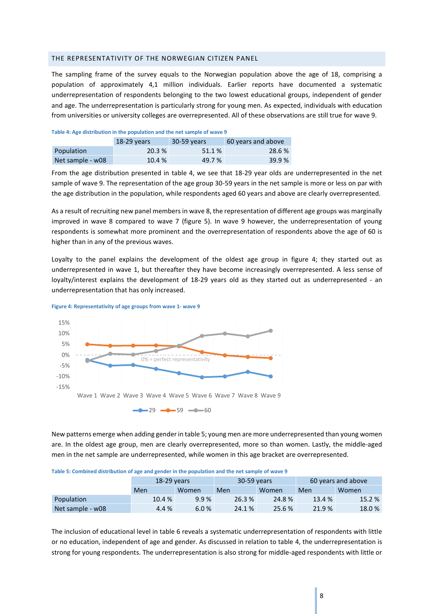## <span id="page-8-0"></span>THE REPRESENTATIVITY OF THE NORWEGIAN CITIZEN PANEL

The sampling frame of the survey equals to the Norwegian population above the age of 18, comprising a population of approximately 4,1 million individuals. Earlier reports have documented a systematic underrepresentation of respondents belonging to the two lowest educational groups, independent of gender and age. The underrepresentation is particularly strong for young men. As expected, individuals with education from universities or university colleges are overrepresented. All of these observations are still true for wave 9.

| Table 4: Age distribution in the population and the net sample of wave 9 |             |             |                    |  |  |  |  |  |  |
|--------------------------------------------------------------------------|-------------|-------------|--------------------|--|--|--|--|--|--|
|                                                                          | 18-29 vears | 30-59 years | 60 years and above |  |  |  |  |  |  |
| Population                                                               | 20.3%       | 51.1 %      | 28.6 %             |  |  |  |  |  |  |
| Net sample - w08                                                         | 10.4%       | 49.7 %      | 39.9%              |  |  |  |  |  |  |

**Table 4: Age distribution in the population and the net sample of wave 9**

From the age distribution presented in table 4, we see that 18-29 year olds are underrepresented in the net sample of wave 9. The representation of the age group 30-59 years in the net sample is more or less on par with the age distribution in the population, while respondents aged 60 years and above are clearly overrepresented.

As a result of recruiting new panel members in wave 8, the representation of different age groups was marginally improved in wave 8 compared to wave 7 (figure 5). In wave 9 however, the underrepresentation of young respondents is somewhat more prominent and the overrepresentation of respondents above the age of 60 is higher than in any of the previous waves.

Loyalty to the panel explains the development of the oldest age group in figure 4; they started out as underrepresented in wave 1, but thereafter they have become increasingly overrepresented. A less sense of loyalty/interest explains the development of 18-29 years old as they started out as underrepresented - an underrepresentation that has only increased.



**Figure 4: Representativity of age groups from wave 1- wave 9**

New patterns emerge when adding gender in table 5; young men are more underrepresented than young women are. In the oldest age group, men are clearly overrepresented, more so than women. Lastly, the middle-aged men in the net sample are underrepresented, while women in this age bracket are overrepresented.

|  |  |  | Table 5: Combined distribution of age and gender in the population and the net sample of wave 9 |
|--|--|--|-------------------------------------------------------------------------------------------------|
|--|--|--|-------------------------------------------------------------------------------------------------|

|                  | 18-29 vears |       | 30-59 years |        | 60 years and above |              |  |
|------------------|-------------|-------|-------------|--------|--------------------|--------------|--|
|                  | Men         | Women | Men         | Women  | Men                | <b>Women</b> |  |
| Population       | 10.4%       | 9.9%  | 26.3 %      | 24.8%  | 13.4 %             | 15.2 %       |  |
| Net sample - w08 | 4.4 %       | 6.0%  | 24.1 %      | 25.6 % | 21.9%              | 18.0%        |  |

The inclusion of educational level in table 6 reveals a systematic underrepresentation of respondents with little or no education, independent of age and gender. As discussed in relation to table 4, the underrepresentation is strong for young respondents. The underrepresentation is also strong for middle-aged respondents with little or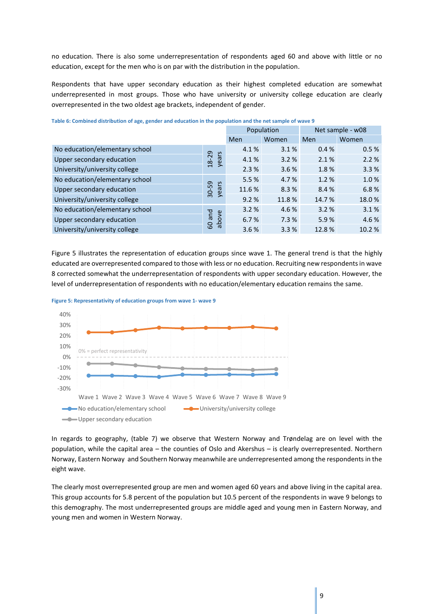no education. There is also some underrepresentation of respondents aged 60 and above with little or no education, except for the men who is on par with the distribution in the population.

Respondents that have upper secondary education as their highest completed education are somewhat underrepresented in most groups. Those who have university or university college education are clearly overrepresented in the two oldest age brackets, independent of gender.

|                                |                |        | Population | Net sample - w08 |       |
|--------------------------------|----------------|--------|------------|------------------|-------|
|                                |                | Men    | Women      | Men              | Women |
| No education/elementary school |                | 4.1%   | 3.1%       | 0.4%             | 0.5%  |
| Upper secondary education      | years<br>18-29 | 4.1%   | 3.2%       | 2.1%             | 2.2%  |
| University/university college  |                | 2.3%   | 3.6%       | 1.8%             | 3.3%  |
| No education/elementary school |                | 5.5 %  | 4.7%       | 1.2%             | 1.0%  |
| Upper secondary education      | 30-59<br>years | 11.6 % | 8.3%       | 8.4%             | 6.8%  |
| University/university college  |                | 9.2%   | 11.8%      | 14.7%            | 18.0% |
| No education/elementary school |                | 3.2%   | 4.6 %      | 3.2%             | 3.1%  |
| Upper secondary education      | and<br>above   | 6.7%   | 7.3%       | 5.9%             | 4.6%  |
| University/university college  | 60             | 3.6%   | 3.3%       | 12.8%            | 10.2% |

**Table 6: Combined distribution of age, gender and education in the population and the net sample of wave 9**

Figure 5 illustrates the representation of education groups since wave 1. The general trend is that the highly educated are overrepresented compared to those with less or no education. Recruiting new respondents in wave 8 corrected somewhat the underrepresentation of respondents with upper secondary education. However, the level of underrepresentation of respondents with no education/elementary education remains the same.



**Figure 5: Representativity of education groups from wave 1- wave 9**

In regards to geography, (table 7) we observe that Western Norway and Trøndelag are on level with the population, while the capital area – the counties of Oslo and Akershus – is clearly overrepresented. Northern Norway, Eastern Norway and Southern Norway meanwhile are underrepresented among the respondents in the eight wave.

The clearly most overrepresented group are men and women aged 60 years and above living in the capital area. This group accounts for 5.8 percent of the population but 10.5 percent of the respondents in wave 9 belongs to this demography. The most underrepresented groups are middle aged and young men in Eastern Norway, and young men and women in Western Norway.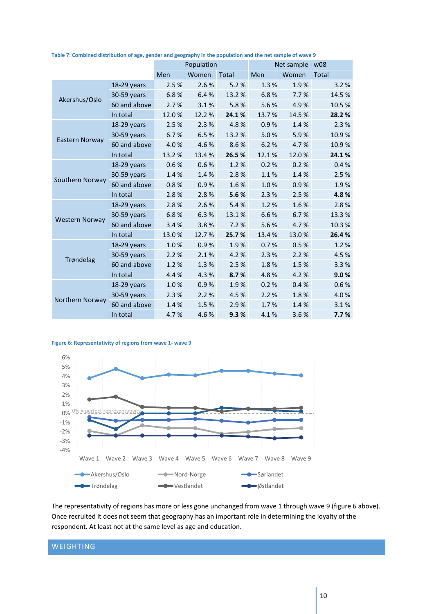|                       |              |       | Population |              |       | Net sample - w08 |              |
|-----------------------|--------------|-------|------------|--------------|-------|------------------|--------------|
|                       |              | Men   | Women      | <b>Total</b> | Men   | Women            | <b>Total</b> |
|                       | 18-29 years  | 2.5%  | 2.6%       | 5.2%         | 1.3%  | 1.9%             | 3.2%         |
| Akershus/Oslo         | 30-59 years  | 6.8%  | 6.4%       | 13.2 %       | 6.8%  | 7.7%             | 14.5%        |
|                       | 60 and above | 2.7%  | 3.1%       | 5.8%         | 5.6%  | 4.9%             | 10.5%        |
|                       | In total     | 12.0% | 12.2 %     | 24.1%        | 13.7% | 14.5%            | 28.2%        |
|                       | 18-29 years  | 2.5%  | 2.3%       | 4.8%         | 0.9%  | 1.4%             | 2.3%         |
|                       | 30-59 years  | 6.7%  | 6.5%       | 13.2 %       | 5.0%  | 5.9%             | 10.9%        |
| Eastern Norway        | 60 and above | 4.0%  | 4.6%       | 8.6%         | 6.2%  | 4.7%             | 10.9%        |
|                       | In total     | 13.2% | 13.4%      | 26.5 %       | 12.1% | 12.0%            | 24.1%        |
|                       | 18-29 years  | 0.6%  | 0.6%       | 1.2%         | 0.2%  | 0.2%             | 0.4%         |
|                       | 30-59 years  | 1.4%  | 1.4%       | 2.8%         | 1.1%  | 1.4%             | 2.5%         |
| Southern Norway       | 60 and above | 0.8%  | 0.9%       | 1.6%         | 1.0%  | 0.9%             | 1.9%         |
|                       | In total     | 2.8%  | 2.8%       | 5.6%         | 2.3%  | 2.5%             | 4.8%         |
|                       | 18-29 years  | 2.8%  | 2.6%       | 5.4%         | 1.2%  | 1.6%             | 2.8%         |
|                       | 30-59 years  | 6.8%  | 6.3%       | 13.1%        | 6.6%  | 6.7%             | 13.3%        |
| <b>Western Norway</b> | 60 and above | 3.4%  | 3.8%       | 7.2 %        | 5.6%  | 4.7%             | 10.3%        |
|                       | In total     | 13.0% | 12.7%      | 25.7%        | 13.4% | 13.0%            | 26.4%        |
|                       | 18-29 years  | 1.0%  | 0.9%       | 1.9%         | 0.7%  | 0.5%             | 1.2%         |
|                       | 30-59 years  | 2.2%  | 2.1%       | 4.2%         | 2.3%  | 2.2%             | 4.5%         |
| Trøndelag             | 60 and above | 1.2%  | 1.3%       | 2.5 %        | 1.8%  | 1.5%             | 3.3%         |
|                       | In total     | 4.4%  | 4.3%       | 8.7%         | 4.8%  | 4.2%             | 9.0%         |
|                       | 18-29 years  | 1.0%  | 0.9%       | 1.9%         | 0.2%  | 0.4%             | 0.6%         |
|                       | 30-59 years  | 2.3%  | 2.2%       | 4.5 %        | 2.2%  | 1.8%             | 4.0%         |
| Northern Norway       | 60 and above | 1.4%  | 1.5%       | 2.9%         | 1.7%  | 1.4%             | 3.1%         |
|                       | In total     | 4.7%  | 4.6%       | 9.3%         | 4.1%  | 3.6%             | 7.7%         |

**Table 7: Combined distribution of age, gender and geography in the population and the net sample of wave 9**

#### **Figure 6: Representativity of regions from wave 1- wave 9**



The representativity of regions has more or less gone unchanged from wave 1 through wave 9 (figure 6 above). Once recruited it does not seem that geography has an important role in determining the loyalty of the respondent. At least not at the same level as age and education.

# <span id="page-10-0"></span>WEIGHTING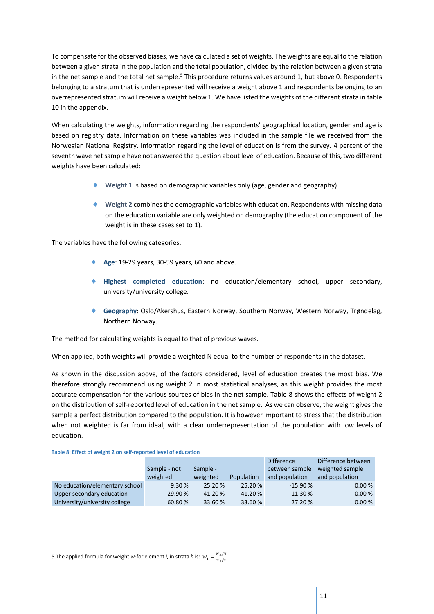To compensate for the observed biases, we have calculated a set of weights. The weights are equal to the relation between a given strata in the population and the total population, divided by the relation between a given strata in the net sample and the total net sample.<sup>5</sup> This procedure returns values around 1, but above 0. Respondents belonging to a stratum that is underrepresented will receive a weight above 1 and respondents belonging to an overrepresented stratum will receive a weight below 1. We have listed the weights of the different strata in table 10 in the appendix.

When calculating the weights, information regarding the respondents' geographical location, gender and age is based on registry data. Information on these variables was included in the sample file we received from the Norwegian National Registry. Information regarding the level of education is from the survey. 4 percent of the seventh wave net sample have not answered the question about level of education. Because of this, two different weights have been calculated:

- **Weight 1** is based on demographic variables only (age, gender and geography)
- **Weight 2** combines the demographic variables with education. Respondents with missing data on the education variable are only weighted on demography (the education component of the weight is in these cases set to 1).

The variables have the following categories:

- **Age**: 19-29 years, 30-59 years, 60 and above.
- **Highest completed education**: no education/elementary school, upper secondary, university/university college.
- **Geography**: Oslo/Akershus, Eastern Norway, Southern Norway, Western Norway, Trøndelag, Northern Norway.

The method for calculating weights is equal to that of previous waves.

When applied, both weights will provide a weighted N equal to the number of respondents in the dataset.

As shown in the discussion above, of the factors considered, level of education creates the most bias. We therefore strongly recommend using weight 2 in most statistical analyses, as this weight provides the most accurate compensation for the various sources of bias in the net sample. Table 8 shows the effects of weight 2 on the distribution of self-reported level of education in the net sample. As we can observe, the weight gives the sample a perfect distribution compared to the population. It is however important to stress that the distribution when not weighted is far from ideal, with a clear underrepresentation of the population with low levels of education.

|                                |              |          |            | <b>Difference</b> | Difference between |
|--------------------------------|--------------|----------|------------|-------------------|--------------------|
|                                | Sample - not | Sample - |            | between sample    | weighted sample    |
|                                | weighted     | weighted | Population | and population    | and population     |
| No education/elementary school | 9.30%        | 25.20 %  | 25.20 %    | $-15.90%$         | 0.00%              |
| Upper secondary education      | 29.90 %      | 41.20%   | 41.20%     | $-11.30%$         | 0.00%              |
| University/university college  | 60.80%       | 33.60 %  | 33.60 %    | 27.20 %           | 0.00%              |

1

<sup>5</sup> The applied formula for weight *w<sub>i</sub>* for element *i*, in strata *h* is:  $w_i = \frac{N_h/N}{n \cdot m}$  $n_h/n$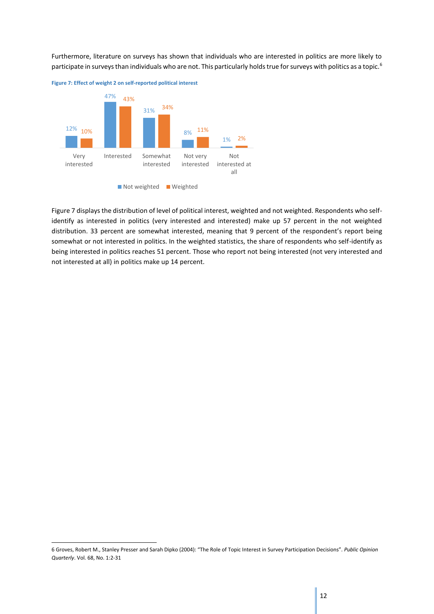Furthermore, literature on surveys has shown that individuals who are interested in politics are more likely to participate in surveys than individuals who are not. This particularly holds true for surveys with politics as a topic.<sup>6</sup>



Figure 7 displays the distribution of level of political interest, weighted and not weighted. Respondents who selfidentify as interested in politics (very interested and interested) make up 57 percent in the not weighted distribution. 33 percent are somewhat interested, meaning that 9 percent of the respondent's report being somewhat or not interested in politics. In the weighted statistics, the share of respondents who self-identify as being interested in politics reaches 51 percent. Those who report not being interested (not very interested and not interested at all) in politics make up 14 percent.

1

<sup>6</sup> Groves, Robert M., Stanley Presser and Sarah Dipko (2004): "The Role of Topic Interest in Survey Participation Decisions". *Public Opinion Quarterly*. Vol. 68, No. 1:2-31